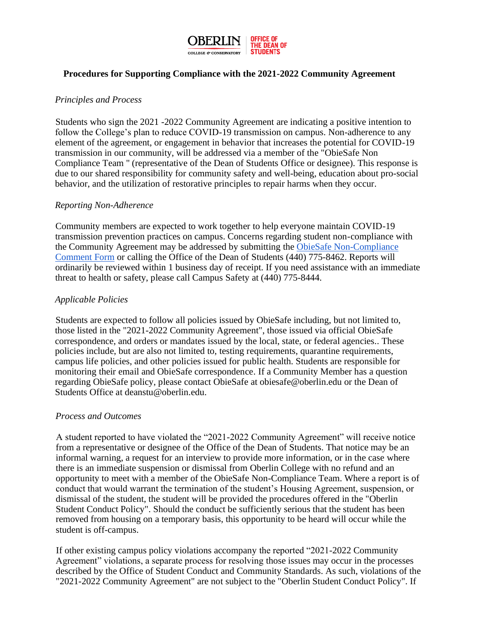

# **Procedures for Supporting Compliance with the 2021-2022 Community Agreement**

# *Principles and Process*

Students who sign the 2021 -2022 Community Agreement are indicating a positive intention to follow the College's plan to reduce COVID-19 transmission on campus. Non-adherence to any element of the agreement, or engagement in behavior that increases the potential for COVID-19 transmission in our community, will be addressed via a member of the "ObieSafe Non Compliance Team '' (representative of the Dean of Students Office or designee). This response is due to our shared responsibility for community safety and well-being, education about pro-social behavior, and the utilization of restorative principles to repair harms when they occur.

#### *Reporting Non-Adherence*

Community members are expected to work together to help everyone maintain COVID-19 transmission prevention practices on campus. Concerns regarding student non-compliance with the Community Agreement may be addressed by submitting the [ObieSafe Non-Compliance](https://docs.google.com/forms/d/e/1FAIpQLSfu4caH63XlZv7RH52ujJ35aK2vw_lPDegP_GlJcemejDKOmw/viewform)  [Comment Form](https://docs.google.com/forms/d/e/1FAIpQLSfu4caH63XlZv7RH52ujJ35aK2vw_lPDegP_GlJcemejDKOmw/viewform) or calling the Office of the Dean of Students (440) 775-8462. Reports will ordinarily be reviewed within 1 business day of receipt. If you need assistance with an immediate threat to health or safety, please call Campus Safety at (440) 775-8444.

## *Applicable Policies*

Students are expected to follow all policies issued by ObieSafe including, but not limited to, those listed in the "2021-2022 Community Agreement", those issued via official ObieSafe correspondence, and orders or mandates issued by the local, state, or federal agencies.. These policies include, but are also not limited to, testing requirements, quarantine requirements, campus life policies, and other policies issued for public health. Students are responsible for monitoring their email and ObieSafe correspondence. If a Community Member has a question regarding ObieSafe policy, please contact ObieSafe at obiesafe@oberlin.edu or the Dean of Students Office at deanstu@oberlin.edu.

#### *Process and Outcomes*

A student reported to have violated the "2021-2022 Community Agreement" will receive notice from a representative or designee of the Office of the Dean of Students. That notice may be an informal warning, a request for an interview to provide more information, or in the case where there is an immediate suspension or dismissal from Oberlin College with no refund and an opportunity to meet with a member of the ObieSafe Non-Compliance Team. Where a report is of conduct that would warrant the termination of the student's Housing Agreement, suspension, or dismissal of the student, the student will be provided the procedures offered in the "Oberlin Student Conduct Policy". Should the conduct be sufficiently serious that the student has been removed from housing on a temporary basis, this opportunity to be heard will occur while the student is off-campus.

If other existing campus policy violations accompany the reported "2021-2022 Community Agreement" violations, a separate process for resolving those issues may occur in the processes described by the Office of Student Conduct and Community Standards. As such, violations of the "2021-2022 Community Agreement" are not subject to the "Oberlin Student Conduct Policy". If